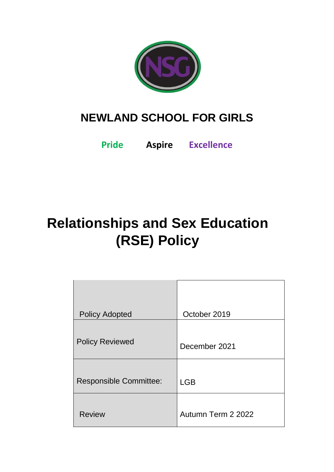

# **NEWLAND SCHOOL FOR GIRLS**

**Pride Aspire Excellence**

# **Relationships and Sex Education (RSE) Policy**

| <b>Policy Adopted</b>         | October 2019       |
|-------------------------------|--------------------|
| <b>Policy Reviewed</b>        | December 2021      |
| <b>Responsible Committee:</b> | <b>LGB</b>         |
| <b>Review</b>                 | Autumn Term 2 2022 |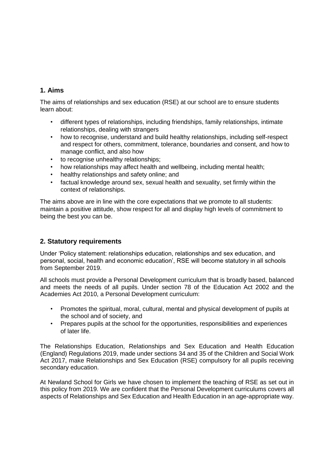# **1. Aims**

The aims of relationships and sex education (RSE) at our school are to ensure students learn about:

- different types of relationships, including friendships, family relationships, intimate relationships, dealing with strangers
- how to recognise, understand and build healthy relationships, including self-respect and respect for others, commitment, tolerance, boundaries and consent, and how to manage conflict, and also how
- to recognise unhealthy relationships;
- how relationships may affect health and wellbeing, including mental health;
- healthy relationships and safety online; and
- factual knowledge around sex, sexual health and sexuality, set firmly within the context of relationships.

The aims above are in line with the core expectations that we promote to all students: maintain a positive attitude, show respect for all and display high levels of commitment to being the best you can be.

# **2. Statutory requirements**

Under 'Policy statement: relationships education, relationships and sex education, and personal, social, health and economic education', RSE will become statutory in all schools from September 2019.

All schools must provide a Personal Development curriculum that is broadly based, balanced and meets the needs of all pupils. Under section 78 of the Education Act 2002 and the Academies Act 2010, a Personal Development curriculum:

- Promotes the spiritual, moral, cultural, mental and physical development of pupils at the school and of society, and
- Prepares pupils at the school for the opportunities, responsibilities and experiences of later life.

The Relationships Education, Relationships and Sex Education and Health Education (England) Regulations 2019, made under sections 34 and 35 of the Children and Social Work Act 2017, make Relationships and Sex Education (RSE) compulsory for all pupils receiving secondary education.

At Newland School for Girls we have chosen to implement the teaching of RSE as set out in this policy from 2019. We are confident that the Personal Development curriculums covers all aspects of Relationships and Sex Education and Health Education in an age-appropriate way.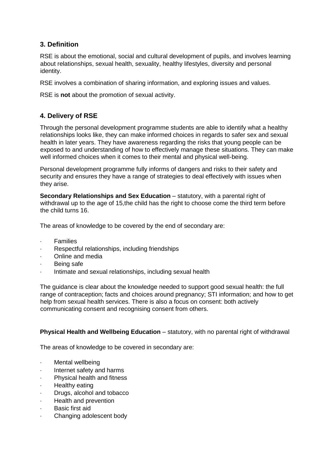# **3. Definition**

RSE is about the emotional, social and cultural development of pupils, and involves learning about relationships, sexual health, sexuality, healthy lifestyles, diversity and personal identity.

RSE involves a combination of sharing information, and exploring issues and values.

RSE is **not** about the promotion of sexual activity.

# **4. Delivery of RSE**

Through the personal development programme students are able to identify what a healthy relationships looks like, they can make informed choices in regards to safer sex and sexual health in later years. They have awareness regarding the risks that young people can be exposed to and understanding of how to effectively manage these situations. They can make well informed choices when it comes to their mental and physical well-being.

Personal development programme fully informs of dangers and risks to their safety and security and ensures they have a range of strategies to deal effectively with issues when they arise.

**Secondary Relationships and Sex Education** – statutory, with a parental right of withdrawal up to the age of 15,the child has the right to choose come the third term before the child turns 16.

The areas of knowledge to be covered by the end of secondary are:

- **Families**
- Respectful relationships, including friendships
- · Online and media
- Being safe
- Intimate and sexual relationships, including sexual health

The guidance is clear about the knowledge needed to support good sexual health: the full range of contraception; facts and choices around pregnancy; STI information; and how to get help from sexual health services. There is also a focus on consent: both actively communicating consent and recognising consent from others.

# **Physical Health and Wellbeing Education** – statutory, with no parental right of withdrawal

The areas of knowledge to be covered in secondary are:

- Mental wellbeing
- Internet safety and harms
- Physical health and fitness
- Healthy eating
- · Drugs, alcohol and tobacco
- **Health and prevention**
- Basic first aid
- Changing adolescent body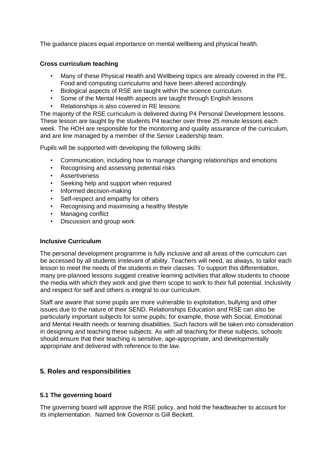The guidance places equal importance on mental wellbeing and physical health.

### **Cross curriculum teaching**

- Many of these Physical Health and Wellbeing topics are already covered in the PE, Food and computing curriculums and have been altered accordingly.
- Biological aspects of RSE are taught within the science curriculum.
- Some of the Mental Health aspects are taught through English lessons
- Relationships is also covered in RE lessons

The majority of the RSE curriculum is delivered during P4 Personal Development lessons. These lesson are taught by the students P4 teacher over three 25 minute lessons each week. The HOH are responsible for the monitoring and quality assurance of the curriculum, and are line managed by a member of the Senior Leadership team.

Pupils will be supported with developing the following skills:

- Communication, including how to manage changing relationships and emotions
- Recognising and assessing potential risks
- **Assertiveness**
- Seeking help and support when required
- Informed decision-making
- Self-respect and empathy for others
- Recognising and maximising a healthy lifestyle
- Managing conflict
- Discussion and group work

#### **Inclusive Curriculum**

The personal development programme is fully inclusive and all areas of the curriculum can be accessed by all students irrelevant of ability. Teachers will need, as always, to tailor each lesson to meet the needs of the students in their classes. To support this differentiation, many pre-planned lessons suggest creative learning activities that allow students to choose the media with which they work and give them scope to work to their full potential. Inclusivity and respect for self and others is integral to our curriculum.

Staff are aware that some pupils are more vulnerable to exploitation, bullying and other issues due to the nature of their SEND. Relationships Education and RSE can also be particularly important subjects for some pupils; for example, those with Social, Emotional and Mental Health needs or learning disabilities. Such factors will be taken into consideration in designing and teaching these subjects. As with all teaching for these subjects, schools should ensure that their teaching is sensitive, age-appropriate, and developmentally appropriate and delivered with reference to the law.

# **5. Roles and responsibilities**

# **5.1 The governing board**

The governing board will approve the RSE policy, and hold the headteacher to account for its implementation. Named link Governor is Gill Beckett.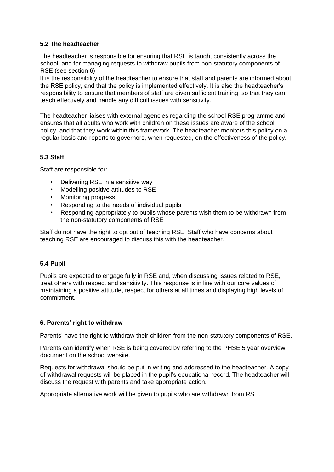### **5.2 The headteacher**

The headteacher is responsible for ensuring that RSE is taught consistently across the school, and for managing requests to withdraw pupils from non-statutory components of RSE (see section 6).

It is the responsibility of the headteacher to ensure that staff and parents are informed about the RSE policy, and that the policy is implemented effectively. It is also the headteacher's responsibility to ensure that members of staff are given sufficient training, so that they can teach effectively and handle any difficult issues with sensitivity.

The headteacher liaises with external agencies regarding the school RSE programme and ensures that all adults who work with children on these issues are aware of the school policy, and that they work within this framework. The headteacher monitors this policy on a regular basis and reports to governors, when requested, on the effectiveness of the policy.

# **5.3 Staff**

Staff are responsible for:

- Delivering RSE in a sensitive way
- Modelling positive attitudes to RSE
- Monitoring progress
- Responding to the needs of individual pupils
- Responding appropriately to pupils whose parents wish them to be withdrawn from the non-statutory components of RSE

Staff do not have the right to opt out of teaching RSE. Staff who have concerns about teaching RSE are encouraged to discuss this with the headteacher.

#### **5.4 Pupil**

Pupils are expected to engage fully in RSE and, when discussing issues related to RSE, treat others with respect and sensitivity. This response is in line with our core values of maintaining a positive attitude, respect for others at all times and displaying high levels of commitment.

#### **6. Parents' right to withdraw**

Parents' have the right to withdraw their children from the non-statutory components of RSE.

Parents can identify when RSE is being covered by referring to the PHSE 5 year overview document on the school website.

Requests for withdrawal should be put in writing and addressed to the headteacher. A copy of withdrawal requests will be placed in the pupil's educational record. The headteacher will discuss the request with parents and take appropriate action.

Appropriate alternative work will be given to pupils who are withdrawn from RSE.